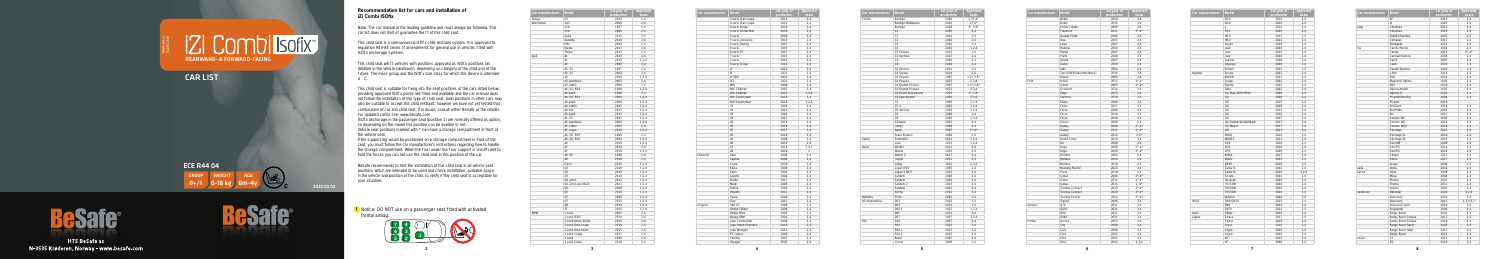**5**



**!** Notice: DO NOT use on a passenger seat tted with activated frontal airbag.

| Car manufacturer | <b>Model</b>          | 1st year of<br>production | <b>Approved</b><br>seats |
|------------------|-----------------------|---------------------------|--------------------------|
| Aiways           | U <sub>5</sub>        | 2020                      | 2,4                      |
| Alfa Romeo       | 147                   | 2000                      | 2,4                      |
|                  | 156                   | 1997                      | 2,4                      |
|                  | 159                   | 2006                      | 2,4                      |
|                  | Giulia                | 2015                      | 2,4                      |
|                  | Giulietta             | 2010                      | 2,4                      |
|                  | Mito                  | 2008                      | 2,4                      |
|                  | Stelvio               | 2017                      | 2,4                      |
|                  | Tonale                | 2022                      | 2,4                      |
| Audi             | A1                    | 2010                      | 2,4                      |
|                  | A1                    | 2018                      | 1, 2, 4                  |
|                  | A2                    | 2000                      | 2,4                      |
|                  | A3, S3                | 1997                      | 2,4                      |
|                  | A3, S3                | 2003                      | 2,4                      |
|                  | A3                    | 2020                      | 1, 2, 4                  |
|                  | A3 sportback          | 2003                      | 2,4                      |
|                  | A3 cabrio             | 2008                      | 2,4                      |
|                  |                       |                           |                          |
|                  | A4, S4, RS4           | 1998                      | 1, 2, 4                  |
|                  | A4 avant              | 1996                      | 2,4                      |
|                  | A4, S4, RS4           | 2000                      | 1, 2, 4                  |
|                  | A4 avant              | 2000                      | 1, 2, 4                  |
|                  | A4 cabrio             | 2002                      | 1, 2, 4                  |
|                  | A4 imo                | 2015                      | 1, 2, 4                  |
|                  | A4 avant              | 2015                      | 1, 2, 4                  |
|                  | A5, S5                | 2007                      | 1, 2, 4                  |
|                  | A5 sportback          | 2009                      | 1, 2, 4                  |
|                  | A5 cabrio             | 2009                      | 2,4                      |
|                  | A5 coupe              | 2016                      | 1, 2, 4                  |
|                  | A6, S6, RS6           | 1998                      | 2,4                      |
|                  | A6, S6, RS6           | 2004                      | 1, 2, 4                  |
|                  | A6                    | 2018                      | 1, 2, 4                  |
|                  | A7                    | 2010                      | 2,4                      |
|                  | A7                    | 2018                      | 1, 2, 4                  |
|                  | A8, S8                | 1998                      | 2,4                      |
|                  | A8                    | 2018                      | 2,4                      |
|                  | E-tron                | 2019                      | 1, 2, 4                  |
|                  | Q2                    | 2016                      | 1, 2, 4                  |
|                  | Q3                    | 2010                      | 1, 2, 4                  |
|                  | Q <sub>3</sub>        | 2018                      | 1, 2, 4                  |
|                  | Q4 e-tron             | 2021                      | 1, 2, 4                  |
|                  | Q4 e-tron sportback   | 2021                      | 1, 2, 4                  |
|                  | Q5                    | 2008                      | 1, 2, 4                  |
|                  | Q <sub>5</sub>        | 2016                      | 1, 2, 4                  |
|                  | Q7                    | 2006                      | 1, 2, 4                  |
|                  | Q7                    | 2015                      | 1, 2, 4                  |
|                  | Q8                    | 2019                      | 1, 2, 4                  |
|                  | <b>TT</b>             | 2015                      | 1, 2, 4                  |
| <b>BMW</b>       | 1 serie               | 2005                      | 2,4                      |
|                  | 1 serie (F40)         | 2019                      | 2,4                      |
|                  | 2 serie Active tourer | 2014                      | 2,4                      |
|                  | 2 serie Gran coupe    | 2019                      | 2,4                      |
|                  | 2 serie Gran tourer   | 2015                      | 2,4                      |
|                  | 2 serie Coupe         | 2021                      | 2,4                      |
|                  |                       |                           |                          |
|                  | 3 serie               | 1998                      | 2,4                      |

B905-801 N2001330

| Car manufacturer | <b>Model</b>        | 1st year of<br>production | <b>Approved</b><br>seats |
|------------------|---------------------|---------------------------|--------------------------|
|                  | 4 serie Gran coupe  | 2014                      | 2,4                      |
|                  | 4 serie Gran coupe  | 2021                      | 2,4                      |
|                  | 4 serie Coupe       | 2020                      | 2,4                      |
|                  | 4 serie Convertible | 2020                      | 2.4                      |
|                  | 5 serie             | 2000                      | 2,4                      |
|                  | 5 serie Limousine   | 2016                      | 2,4                      |
|                  | 5 serie Touring     | 2017                      | 2,4                      |
|                  | 6 serie             | 2003                      | 2,4                      |
|                  | 6 serie GT          | 2017                      | 2,4                      |
|                  | 7 serie             | 2001                      | 2,4                      |
|                  | 7 serie             | 2015                      | 2,4                      |
|                  | 8 serie Coupe       | 2018                      | 2,4                      |
|                  | i3                  | 2013                      | 2,4                      |
|                  | 4                   | 2021                      | 2,4                      |
|                  | iX (i20)            | 2021                      | 2,4                      |
|                  | iX3                 | 2021                      | 2,4                      |
|                  | Mini                | 2006                      | 2.4                      |
|                  | Mini Clubman        | 2007                      | 2,4                      |
|                  | Mini Clubman        | 2015                      | 1, 2, 4                  |
|                  | Mini Countryman     | 2010                      | 2,4                      |
|                  | Mini Countryman     | 2016                      | 1, 2, 4                  |
|                  | X1                  | 2004                      | 2,4                      |
|                  | X1                  | 2015                      | 2.4                      |
|                  | X <sub>3</sub>      | 2004                      | 2,4                      |
|                  | X3                  | 2017                      | 2,4                      |
|                  | Χ4                  | 2018                      | 2,4                      |
|                  | <b>X5</b>           | 2004                      | 2,4                      |
|                  | X5                  | 2013                      | 2,4                      |
|                  | X <sub>5</sub>      | 2018                      | 2,4                      |
|                  | X6                  | 2008                      | 2,4                      |
|                  | <b>X6</b>           | 2019                      | 2,4                      |
|                  | X7                  | 2018                      | 2,4,7                    |
|                  | Z <sub>4</sub>      | 2018                      | $\mathbf{1}$             |
| Chevrolet        |                     |                           | 2.4                      |
|                  | Aveo                | 2006<br>2006              |                          |
|                  | Captiva<br>Cruze    |                           | 2,4                      |
|                  |                     | 2009<br>2006              | 2.4                      |
|                  | Epica               |                           | 2,4                      |
|                  | Kalos<br>Lacetti    | 2002                      | 2,4                      |
|                  |                     | 2004                      | 2,4                      |
|                  | Malibu              | 2011                      | 2,4                      |
|                  | Matiz               | 2005                      | 2,4                      |
|                  | Nubira              | 2009                      | 2.4                      |
|                  | Orlando             | 2011                      | 2,4                      |
|                  | Spark               | 2009                      | 2,4                      |
|                  | Trax                | 2013                      | 2,4                      |
| Chrysler         | 300 CC              | 2008                      | 2,4                      |
|                  | Dodge Caliber       | 2006                      | 2,4                      |
|                  | Dodge Nitro         | 2006                      | 2,4                      |
|                  | Dodge RAM           | 2002                      | 2,4                      |
|                  | Jeep Commander      | 2006                      | 2,4                      |
|                  | Jeep Grand Cherokee | 2010                      | 2,4                      |
|                  | Jeep Wrangler       | 2011                      | 2,4                      |
|                  | PT cruiser          | 2000                      | 2,4                      |
|                  | Sebring             | 2007                      | 2,4                      |
|                  | Voyager             | 2001                      | 2.4                      |

 $0+$ /1  $\bigcup$  0-18 kg  $\bigcup$  6m-4y ECE R44 04 GROUP WEIGHT AGE



**HTS BeSafe as** N-3535 Krøderen, Norway - www.besafe.com



Note: The car manual is the leading guideline and must always be followed. This car list does not limit or guarantee the  $t$  of this child seat.

This child seat is a semi-universal ISO x child restraint system. It is approved to regulation R44-04 series of amendments for general use in vehicles tted with ISO x anchorage systems.

This child seat will t vehicles with positions approved as ISO  $x$  positions (as detailed in the vehicle handbook), depending on category of the child and of the xture. The mass group and the ISO x size class for which this device is intended is : C.

This child seat is suitable for xing into the seat positions of the cars listed below. providing approved ISO x points are tted and available and the car manual does not forbid the installation of this type of child seat. Seat positions in other cars may also be suitable to accept this child restraint, however we have not yet tested that combination of car and child seat. If in doubt, consult either BeSafe or the retailer. For updated carlist see: www.besafe.com

 $\overline{1}$  ISO x anchorage in the passenger seat (position 1) are normally offered as option, so depending on the model this position can be availble or not.

| Car manufacturer      | <b>Model</b>         | 1st year of<br>production | <b>Approved</b><br>seats      |
|-----------------------|----------------------|---------------------------|-------------------------------|
| Citroën               | Berlingo             | 2008                      | $1,2^*$ , 4*                  |
|                       | Berlingo Multispace  | 2012                      | $2^{\star}$ , 4 $^{\star}$    |
|                       | Berlingo             | 2018                      | $2^{\star}$ , 3, 4 $^{\star}$ |
|                       | C1                   | 2005                      | 2,4                           |
|                       | C <sub>1</sub>       | 2014                      | 2,4                           |
|                       | C <sub>2</sub>       | 2004                      | 2,4                           |
|                       | C <sub>3</sub>       | 2004                      | 2,4                           |
|                       | C <sub>3</sub>       | 2016                      | 1, 2, 4                       |
|                       | C3 Picasso           | 2013                      | 2.4                           |
|                       | C3 Aircross          | 2017                      | 2,4                           |
|                       | C <sub>4</sub>       | 2004                      | 2,4                           |
|                       | C <sub>4</sub>       | 2020                      | 2,4                           |
|                       | C4 Aircross          | 2012                      | 2,4                           |
|                       | C4 Cactus            | 2014                      | 2,4                           |
|                       | C4 Picasso           | 2007                      | $1, 2^*, 3, 4^*$              |
|                       | C4 Picasso           | 2013                      | 2, 3, 4                       |
|                       | C4 Grande Picasso    | 2007                      | $1, 2^*, 3, 4^*$              |
|                       | C4 Grande Picasso    | 2013                      | 2, 3, 4                       |
|                       | C4 Grand Spacetourer | 2020                      | $2^{\star}$ , 3, 4 $^{\star}$ |
|                       | C4 Spacetourer       | 2020                      | 2,3,4                         |
|                       | C <sub>5</sub>       | 2000                      | 1, 2, 4                       |
|                       | C5X                  | 2022                      | 1, 2, 4                       |
|                       | C5 Aircross          | 2018                      | 1, 2, 4                       |
|                       | C6                   | 2008                      | 2,4                           |
|                       | C <sub>8</sub>       | 2003                      | 2,3,4                         |
|                       | C-Elysée             | 2012                      | 2,4                           |
|                       | Jumpy                | 2004                      | 2,4                           |
|                       | Nemo                 | 2007                      | $2^{\star}$ , 4 $^{\star}$    |
|                       | Xsara Picasso        | 2000                      | 2,4                           |
| Cupra                 | Formentor            | 2021                      | 1, 2, 4                       |
|                       | Leon                 | 2021                      | 1, 2, 4                       |
| Dacia                 | Dokker               | 2012                      | 2,4                           |
|                       | Duster               | 2010                      | 2.4                           |
|                       | Duster <sub>2</sub>  | 2017                      | 2,4                           |
|                       | Jogger               | 2021                      | 2,4                           |
|                       | Lodgy                | 2012                      | 2,3,4                         |
|                       | Logan MCV            | 2005                      | 2,4                           |
|                       | Logan 2 MCV          | 2013                      | 2,4                           |
|                       | Sandero              | 2008                      | 2.4                           |
|                       | Sandero              | 2020                      | 2,4                           |
|                       | Sandero <sub>2</sub> | 2013                      | 2,4                           |
|                       | Sandero              | 2021                      | 2,4                           |
|                       | Spring               | 2021                      | 2,4                           |
| Daihatsu              | Sirion               | 2005                      | 2,4                           |
| <b>DS Automobiles</b> | DS3                  | 2010                      | 2,4                           |
|                       | DS4                  | 2011                      | 2,4                           |
|                       | $DS4$ II             | 2021                      | 1.2.4                         |
|                       | DS5                  | 2012                      | 2,4                           |
|                       | DS7                  | 2017                      | 1, 2, 4                       |
| Fiat                  | 500                  | 2007                      | 2,4                           |
|                       | 500                  | 2016                      | 2.4                           |
|                       | 500L                 | 2013                      | 2,4                           |
|                       | 500 X                | 2015                      | 2,4                           |
|                       | Bravo                | 2007                      | 2,4                           |
|                       |                      |                           |                               |

## REARWARD- & FORWARD-FACING

CAR LIST

2022 03 02

## **Recommendation list for cars and installation of iZi Combi ISOfix**

Vehicle seat positions marked with \* can have a storage compartment in front of the vehicle seat.

If the support leg would be positioned on a storage compartment in front of the seat, you must follow the car manufacturer's instructions regarding how to handle the storage compartment. When the oor under the oor support is unsuf cient to hold the forces you can not use this child seat in this position of the car.

BeSafe recommends to test the installation of this child seat in all vehicle seat positions which are intended to be used and check installation, available space in the vehicle and position of the child, to verify if this child seat is acceptable for your situation.

| Car manufacturer | <b>Model</b>              | 1st year of | Approv                     |
|------------------|---------------------------|-------------|----------------------------|
|                  |                           | production  | seats                      |
|                  | Doblò                     | 2010        | 2,4                        |
|                  | Doblò                     | 2016        | 2,4                        |
|                  | Fiorno / Qubo             | 2008        | 2,4                        |
|                  | Freemont                  | 2011        | $2^{\star}$ , 4 $^{\star}$ |
|                  | Grande Punto              | 2006        | 2,4                        |
|                  | Idea                      | 2003        | 2,4                        |
|                  | Linea                     | 2007        | 2,4                        |
|                  | Multipla                  | 2004        | 2,4                        |
|                  | Panda                     | 2007        | 2.4                        |
|                  | Punto                     | 2008        | 2,4                        |
|                  | Scudo                     | 2007        | 2,4                        |
|                  | Sedici                    | 2009        | 2.4                        |
|                  | Stilo                     | 2004        | 2,4                        |
|                  | Tipo (SW/Sedan/Hatchback) | 2016        | 2,4                        |
|                  | Ulysse                    | 2003        | 2,4                        |
| Ford             | B-max                     | 2012        | $2^{\star}$ ,4 $^{\star}$  |
|                  | C-max                     | 2003        | $2^{\star}$ , 4 $^{\star}$ |
|                  | Ecosport                  | 2014        | 2,4                        |
|                  | Edge                      | 2015        | 2,4                        |
|                  | Explorer                  | 2019        | 2.4                        |
|                  | Fiesta                    | 2008        | 2,4                        |
|                  | Fiesta                    | 2017        | 2,4                        |
|                  | Focus                     | 2004        | 2,4                        |
|                  |                           |             |                            |
|                  | Focus                     | 2014        | 2,4                        |
|                  | Focus                     | 2018        | 2,4                        |
|                  | Fusion                    | 2008        | 2,4                        |
|                  | Galaxy                    | 2006        | $2^{\star}$ , 4 $^{\star}$ |
|                  | Galaxy                    | 2011        | $2^* .4^*$                 |
|                  | Galaxy                    | 2015        | $2,4*$                     |
|                  | Grand C-max               | 2010        | 2,4                        |
|                  | Ka                        | 2009        | 2,4                        |
|                  | Kuga                      | 2008        | $2^{\star}$ ,4 $^{\star}$  |
|                  | Kuga                      | 2019        | $2^{\star}$ , 4 $^{\star}$ |
|                  | Mondeo                    | 2000        | 2,4                        |
|                  | Mondeo                    | 2014        | 2,4                        |
|                  | Mondeo                    | 2019        | 2,4                        |
|                  | Mustang Mach-E            | 2020        | 2,4                        |
|                  | Puma                      | 2019        | 2,4                        |
|                  | S-max                     | 2006        | $2^{\star}$ , 4 $^{\star}$ |
|                  | S-max                     | 2011        | $2^{\star}$ , 4 $^{\star}$ |
|                  | S-max                     | 2015        | $2, 4*$                    |
|                  | <b>Tourneo Connect</b>    | 2013        | $2^{\star}$ , 4 $^{\star}$ |
|                  | <b>Tourneo Connect</b>    | 2018        | $2^{\star}$ , 4 $^{\star}$ |
|                  | Tourneo Courier           | 2014        | $2^{\star}$ , 4 $^{\star}$ |
|                  | Transit                   | 2006        | 2,4                        |
| Genesis          | G70                       | 2021        | 2,4                        |
|                  | <b>GV70</b>               | 2021        | 2,4                        |
|                  | G80                       | 2021        | 2,4                        |
|                  | <b>GV80</b>               | 2021        | 2,4                        |
| Honda            | Accord                    | 2003        | 2,4                        |
|                  | City                      | 2009        | 2,4                        |
|                  | Civic                     | 2006        | 2,4                        |
|                  |                           |             |                            |
|                  | Civic                     | 2022        | 2,4                        |
|                  | CR-V                      | 2002        | 2,4                        |
|                  | CR-V                      | 2012        | 2,3,4                      |

**Contract Contract Contract** 

| Model                     | 1st year of | <b>Approved</b>            |
|---------------------------|-------------|----------------------------|
| Doblò                     | production  | seats                      |
|                           | 2010        | 2,4                        |
| Doblò                     | 2016        | 2,4                        |
| Fiorno / Qubo             | 2008        | 2,4                        |
| Freemont                  | 2011        | $2^{\star}$ , 4 $^{\star}$ |
| Grande Punto              | 2006        | 2,4                        |
| Idea                      | 2003        | 2,4                        |
| Linea                     | 2007        | 2,4                        |
| Multipla                  | 2004        | 2,4                        |
| Panda                     | 2007        | 2,4                        |
| Punto                     | 2008        | 2,4                        |
| Scudo                     | 2007        | 2,4                        |
| Sedici                    | 2009        | 2,4                        |
| Stilo                     | 2004        | 2,4                        |
| Tipo (SW/Sedan/Hatchback) | 2016        | 2,4                        |
| Ulysse                    | 2003        | 2,4                        |
| B-max                     | 2012        | $2^{\star}$ , 4 $^{\star}$ |
| C-max                     | 2003        | $2^{\star}$ , 4 $^{\star}$ |
| Ecosport                  | 2014        | 2,4                        |
| Edge                      | 2015        | 2,4                        |
| Explorer                  | 2019        | 2,4                        |
| Fiesta                    | 2008        | 2,4                        |
| Fiesta                    | 2017        | 2,4                        |
| Focus                     | 2004        | 2,4                        |
| Focus                     | 2014        | 2,4                        |
| Focus                     | 2018        | 2,4                        |
| Fusion                    | 2008        | 2,4                        |
|                           |             | $2^{\star}$ , 4 $^{\star}$ |
| Galaxy                    | 2006        |                            |
| Galaxy                    | 2011        | $2^{\star}$ ,4 $^{\star}$  |
| Galaxy                    | 2015        | $2,4*$                     |
| Grand C-max               | 2010        | 2,4                        |
| Ka                        | 2009        | 2,4                        |
| Kuga                      | 2008        | $2^* . 4^*$                |
| Kuga                      | 2019        | $2^{\star}$ ,4 $^{\star}$  |
| Mondeo                    | 2000        | 2,4                        |
| Mondeo                    | 2014        | 2,4                        |
| Mondeo                    | 2019        | 2,4                        |
| Mustang Mach-E            | 2020        | 2,4                        |
| Puma                      | 2019        | 2,4                        |
| S-max                     | 2006        | $2^{\star}$ , 4 $^{\star}$ |
| S-max                     | 2011        | $2^{\star}$ , 4 $^{\star}$ |
| S-max                     | 2015        | $2, 4*$                    |
| Tourneo Connect           | 2013        | $2^{\star}$ ,4 $^{\star}$  |
| Tourneo Connect           | 2018        | $2^{\star}$ , 4 $^{\star}$ |
| Tourneo Courier           | 2014        | $2^{\star}$ , 4 $^{\star}$ |
| Transit                   | 2006        | 2,4                        |
| G70                       | 2021        | 2,4                        |
| GV70                      | 2021        | 2,4                        |
| G80                       | 2021        | 2,4                        |
| GV80                      | 2021        |                            |
|                           |             | 2,4                        |
| Accord                    | 2003        | 2,4                        |
| City                      | 2009        | 2,4                        |
| Civic                     | 2006        | 2,4                        |
| Civic                     | 2022        | 2,4                        |
| CR-V                      | 2002        | 2,4                        |
| CR-V                      | 2012        | 2,3,4                      |
|                           |             |                            |

| Car manufacturer | <b>Model</b>           | 1st year of | <b>Approved</b> |
|------------------|------------------------|-------------|-----------------|
|                  |                        | production  | seats           |
|                  | CR-V                   | 2019        | 2,4             |
|                  | CR-Z                   | 2010        | 2,4             |
|                  | e                      | 2020        | 2,4             |
|                  | FR-V                   | 2005        | 2,4             |
|                  | HR-V                   | 2015        | 2,4             |
|                  | HR-V                   | 2021        | 2,4             |
|                  | Insight                | 2009        | 2.4             |
|                  | Jazz                   | 2002        | 2,4             |
|                  | Jazz                   | 2015        | 2,4             |
|                  | Jazz                   | 2020        | 2,4             |
|                  | Legend                 | 2006        | 2,4             |
|                  | Odyssey                | 2006        | 2,4             |
|                  | Stream                 | 2001        | 2,4             |
| Hyundai          | Accent                 | 2002        | 2,4             |
|                  | BAYON                  | 2021        | 2,4             |
|                  | Coupe                  | 2001        | 2.4             |
|                  | Elantra                | 2002        | 2,4             |
|                  | Getz                   | 2002        | 2,4             |
|                  | H1/iMax/i800/H300      | 2008        | 2,4             |
|                  | i10                    | 2008        | 2,4             |
|                  | i10                    | 2019        | 2,4             |
|                  | i20                    | 2009        | 2,4             |
|                  | i20                    | 2014        | 2,4             |
|                  | i20                    | 2020        | 2,4             |
|                  | i30                    | 2007        | 2,4             |
|                  | i30 Fastback/Hatchback | 2017        | 2,4             |
|                  | i30 Wagon              | 2017        | 2,4             |
|                  | i40                    | 2011        | 2,4             |
|                  | <b>IONIQ</b>           | 2016        | 2,4             |
|                  | IONIQ 5                | 2021        | 2,4             |
|                  | iX20                   | 2010        | 2,4             |
|                  | iX35                   | 2010        | 2,4             |
|                  | iX55                   | 2009        | 2,4             |
|                  | <b>KONA</b>            | 2017        | 2,4             |
|                  | Matrix                 | 2002        | 2,4             |
|                  | NEXO                   | 2018        | 2,4             |
|                  | Santa Fe               | 2002        | 2,4             |
|                  | Santa Fe               | 2018        | 1, 2, 4         |
|                  | Sonata                 | 2001        | 2,4             |
|                  | Terracan               | 2002        | 2,4             |
|                  | <b>TUCSON</b>          | 2004        | 2,4             |
|                  | <b>TUCSON</b>          | 2015        | 2,4             |
|                  | <b>TUCSON</b>          | 2020        | 2,4             |
|                  | Veloster               | 2004        | 2,4             |
|                  |                        |             |                 |
| In niti          | Q30/QX30               | 2015        | 2,4             |
|                  | 050                    | 2014        | 2,4             |
|                  | QX70                   | 2014        | 2,4             |
| Isuzu            | D-Max                  | 2020        | 2,4             |
| Jaguar           | E-Pace                 | 2017        | 2,4             |
|                  | F-Pace                 | 2016        | 2,4             |
|                  | I-Pace                 | 2018        | 2,4             |
|                  | S-type                 | 2002        | 2,4             |
|                  | X-type                 | 2005        | 2,4             |
|                  | XE                     | 2015        | 2,4             |
|                  | XF                     | 2008        | 2.4             |

| Car manufacturer | <b>Model</b>           | 1st year of | Approved                 |
|------------------|------------------------|-------------|--------------------------|
|                  |                        | production  | seats                    |
|                  | XF                     | 2015        | 2,4                      |
|                  | ΧJ                     | 2003        | 2,4                      |
| Jeep             | Cherokee               | 2013        | 2,4                      |
|                  | Cherokee               | 2019        | 2,4                      |
|                  | Grand Cherokee         | 2022        | 2,4                      |
|                  | Compass                | 2017        | 2,4                      |
|                  | Renegade               | 2014        | 2,4                      |
| Kia              | Carens/Rondo           | 2002        | 2,4                      |
|                  | Carens                 | 2013        | $2^*$ , 4*               |
|                  | Carnival/Sedona        | 2006        | 2,4                      |
|                  | Cee'd                  | 2007        | 2,4                      |
|                  | Ceed                   | 2018        | 2,4                      |
|                  | Cerato/Spectra         | 2004        | 2,4                      |
|                  | e-Niro                 | 2019        | 2,4                      |
|                  | EV <sub>6</sub>        | 2021        | 2,4                      |
|                  | Magentis/Optima        | 2002        | 2,4                      |
|                  | Niro                   | 2016        | 2,4                      |
|                  | Opirus/Amanti          | 2003        | 2,4                      |
|                  | Optima JF              | 2015        | 2,4                      |
|                  | Picanto/Morning        | 2004        | 2,4                      |
|                  | Picanto                | 2018        | $\overline{\phantom{a}}$ |
|                  | ProCeed                | 2018        | 2.4                      |
|                  | Rio/Pride              | 2002        | 2,4                      |
|                  |                        |             |                          |
|                  | Rio                    | 2017        | 2,4                      |
|                  | Sorento XM             | 2002        | 2,4                      |
|                  | Sorento UM             | 2014        | 2,4                      |
|                  | Sorento MQ4            | 2020        | 2,4                      |
|                  | Sportage               | 2021        | 2,4                      |
|                  | Sportage SL            | 2010        | 2,4                      |
|                  | Sportage QL            | 2015        | 2,4                      |
|                  | Soul AM                | 2009        | 2,4                      |
|                  | Soul PS                | 2014        | 2,4                      |
|                  | Soul EV                | 2014        | 2,4                      |
|                  | Stinger                | 2017        | 2,4                      |
|                  | Stonic                 | 2017        | 2,4                      |
|                  | Venga                  | 2009        | 2,4                      |
| Lada             | Vesta                  | 2016        | 2,4                      |
| Lancia           | Delta                  | 2008        | 2,4                      |
|                  | Musa                   | 2004        | 2,4                      |
|                  | Phedra                 | 2002        | 2.4                      |
|                  | Thema                  | 2011        | 2,4                      |
|                  | Ypsilon                | 2003        | 2,4                      |
| Landrover        | Defender               | 2020        | 1, 2, 4                  |
|                  | Discovery              | 2001        | 2,4                      |
|                  | <b>Discovery</b>       | 2017        | 1, 2, 4, 5, 7            |
|                  | <b>Discovery Sport</b> | 2014        | 2,4                      |
|                  | Freelander             | 2006        | 2,4                      |
|                  | Range Rover            | 2002        | 2,4                      |
|                  | Range Rover Evoque     | 2011        | 2,4                      |
|                  | Range Rover Evoque     | 2019        | 2,4                      |
|                  | Range Rover Sport      | 2005        | 2,4                      |
|                  | Range Rover Velar      | 2017        | 2,4                      |
|                  | Range Rover            | 2022        | 2,4                      |
| Lexus            | <b>CT</b>              | 2011        | 2,4                      |
|                  | ES                     | 2018        | 2.4                      |
|                  |                        |             |                          |